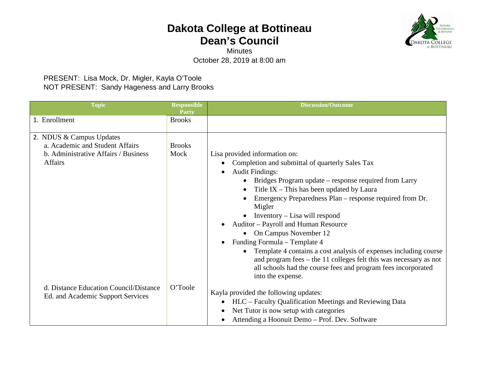## **Dakota College at Bottineau Dean's Council**



Minutes October 28, 2019 at 8:00 am

## PRESENT: Lisa Mock, Dr. Migler, Kayla O'Toole NOT PRESENT: Sandy Hageness and Larry Brooks

| <b>Topic</b>                                                                                                          | <b>Responsible</b><br>Party | <b>Discussion/Outcome</b>                                                                                                                                                                                                                                                                                                                                                                                                                                                                                                                                                                                                                                              |
|-----------------------------------------------------------------------------------------------------------------------|-----------------------------|------------------------------------------------------------------------------------------------------------------------------------------------------------------------------------------------------------------------------------------------------------------------------------------------------------------------------------------------------------------------------------------------------------------------------------------------------------------------------------------------------------------------------------------------------------------------------------------------------------------------------------------------------------------------|
| 1. Enrollment                                                                                                         | <b>Brooks</b>               |                                                                                                                                                                                                                                                                                                                                                                                                                                                                                                                                                                                                                                                                        |
| 2. NDUS & Campus Updates<br>a. Academic and Student Affairs<br>b. Administrative Affairs / Business<br><b>Affairs</b> | <b>Brooks</b><br>Mock       | Lisa provided information on:<br>Completion and submittal of quarterly Sales Tax<br><b>Audit Findings:</b><br>Bridges Program update – response required from Larry<br>Title $IX$ – This has been updated by Laura<br>$\bullet$<br>Emergency Preparedness Plan – response required from Dr.<br>Migler<br>Inventory – Lisa will respond<br>Auditor - Payroll and Human Resource<br>On Campus November 12<br>Funding Formula - Template 4<br>Template 4 contains a cost analysis of expenses including course<br>and program fees – the 11 colleges felt this was necessary as not<br>all schools had the course fees and program fees incorporated<br>into the expense. |
| d. Distance Education Council/Distance<br>Ed. and Academic Support Services                                           | O'Toole                     | Kayla provided the following updates:<br>HLC - Faculty Qualification Meetings and Reviewing Data<br>$\bullet$<br>Net Tutor is now setup with categories<br>$\bullet$<br>Attending a Hoonuit Demo - Prof. Dev. Software                                                                                                                                                                                                                                                                                                                                                                                                                                                 |